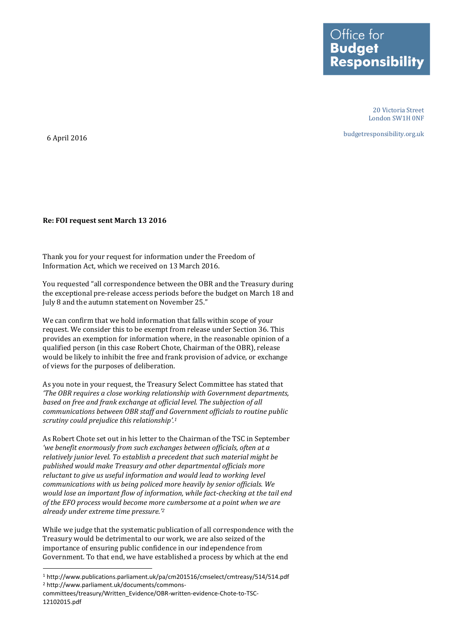Office for **Budget Responsibility** 

> 20 Victoria Street London SW1H 0NF

budgetresponsibility.org.uk

6 April 2016

**.** 

## **Re: FOI request sent March 13 2016**

Thank you for your request for information under the Freedom of Information Act, which we received on 13 March 2016.

You requested "all correspondence between the OBR and the Treasury during the exceptional pre-release access periods before the budget on March 18 and July 8 and the autumn statement on November 25."

We can confirm that we hold information that falls within scope of your request. We consider this to be exempt from release under Section 36. This provides an exemption for information where, in the reasonable opinion of a qualified person (in this case Robert Chote, Chairman of the OBR), release would be likely to inhibit the free and frank provision of advice, or exchange of views for the purposes of deliberation.

As you note in your request, the Treasury Select Committee has stated that *'The OBR requires a close working relationship with Government departments, based on free and frank exchange at official level. The subjection of all communications between OBR staff and Government officials to routine public scrutiny could prejudice this relationship'.<sup>1</sup>*

As Robert Chote set out in his letter to the Chairman of the TSC in September *'we benefit enormously from such exchanges between officials, often at a relatively junior level. To establish a precedent that such material might be published would make Treasury and other departmental officials more reluctant to give us useful information and would lead to working level communications with us being policed more heavily by senior officials. We would lose an important flow of information, while fact-checking at the tail end of the EFO process would become more cumbersome at a point when we are already under extreme time pressure.' 2*

While we judge that the systematic publication of all correspondence with the Treasury would be detrimental to our work, we are also seized of the importance of ensuring public confidence in our independence from Government. To that end, we have established a process by which at the end

<sup>1</sup> http://www.publications.parliament.uk/pa/cm201516/cmselect/cmtreasy/514/514.pdf <sup>2</sup> http://www.parliament.uk/documents/commons-

committees/treasury/Written\_Evidence/OBR-written-evidence-Chote-to-TSC-12102015.pdf